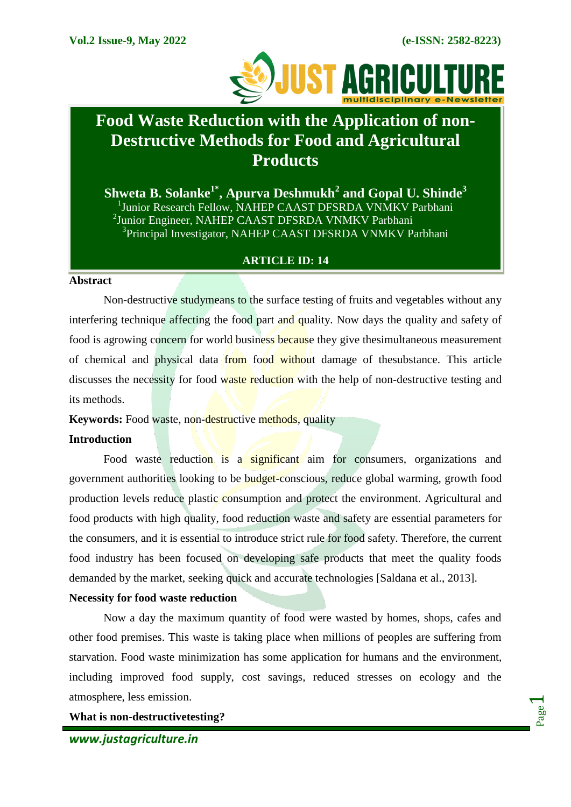

# **Food Waste Reduction with the Application of non-Destructive Methods for Food and Agricultural Products**

**Shweta B. Solanke1\*, Apurva Deshmukh<sup>2</sup> and Gopal U. Shinde<sup>3</sup>** <sup>1</sup>Junior Research Fellow, NAHEP CAAST DFSRDA VNMKV Parbhani <sup>2</sup>Junior Engineer, NAHEP CAAST DFSRDA VNMKV Parbhani <sup>3</sup>Principal Investigator, NAHEP CAAST DFSRDA VNMKV Parbhani

# **ARTICLE ID: 14**

#### **Abstract**

Non-destructive studymeans to the surface testing of fruits and vegetables without any interfering technique affecting the food part and quality. Now days the quality and safety of food is agrowing concern for world business because they give thesimultaneous measurement of chemical and physical data from food without damage of thesubstance. This article discusses the necessity for food waste reduction with the help of non-destructive testing and its methods.

**Keywords:** Food waste, non-destructive methods, quality

#### **Introduction**

Food waste reduction is a significant aim for consumers, organizations and government authorities looking to be budget-conscious, reduce global warming, growth food production levels reduce plastic consumption and protect the environment. Agricultural and food products with high quality, food reduction waste and safety are essential parameters for the consumers, and it is essential to introduce strict rule for food safety. Therefore, the current food industry has been focused on developing safe products that meet the quality foods demanded by the market, seeking quick and accurate technologies [Saldana et al., 2013].

#### **Necessity for food waste reduction**

Now a day the maximum quantity of food were wasted by homes, shops, cafes and other food premises. This waste is taking place when millions of peoples are suffering from starvation. Food waste minimization has some application for humans and the environment, including improved food supply, cost savings, reduced stresses on ecology and the atmosphere, less emission.

**What is non-destructivetesting?**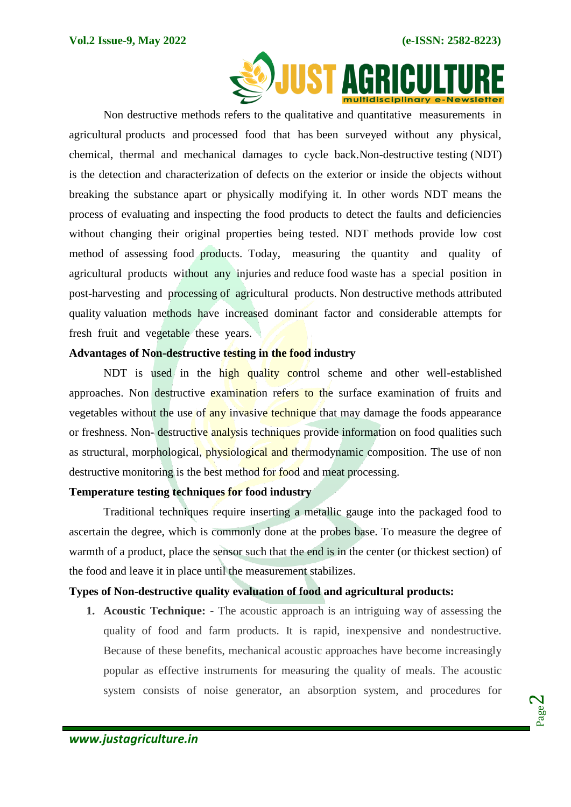

Non destructive methods refers to the qualitative and quantitative measurements in agricultural products and processed food that has been surveyed without any physical, chemical, thermal and mechanical damages to cycle back.Non-destructive testing (NDT) is the detection and characterization of defects on the exterior or inside the objects without breaking the substance apart or physically modifying it. In other words NDT means the process of evaluating and inspecting the food products to detect the faults and deficiencies without changing their original properties being tested. NDT methods provide low cost method of assessing food products. Today, measuring the quantity and quality of agricultural products without any injuries and reduce food waste has a special position in post-harvesting and processing of agricultural products. Non destructive methods attributed quality valuation methods have increased dominant factor and considerable attempts for fresh fruit and vegetable these years.

# **Advantages of Non-destructive testing in the food industry**

NDT is used in the high quality control scheme and other well-established approaches. Non destructive examination refers to the surface examination of fruits and vegetables without the use of any invasive technique that may damage the foods appearance or freshness. Non-destructive analysis techniques provide information on food qualities such as structural, morphological, physiological and thermodynamic composition. The use of non destructive monitoring is the best method for food and meat processing.

#### **Temperature testing techniques for food industry**

Traditional techniques require inserting a metallic gauge into the packaged food to ascertain the degree, which is commonly done at the probes base. To measure the degree of warmth of a product, place the sensor such that the end is in the center (or thickest section) of the food and leave it in place until the measurement stabilizes.

# **Types of Non-destructive quality evaluation of food and agricultural products:**

**1. Acoustic Technique: -** The acoustic approach is an intriguing way of assessing the quality of food and farm products. It is rapid, inexpensive and nondestructive. Because of these benefits, mechanical acoustic approaches have become increasingly popular as effective instruments for measuring the quality of meals. The acoustic system consists of noise generator, an absorption system, and procedures for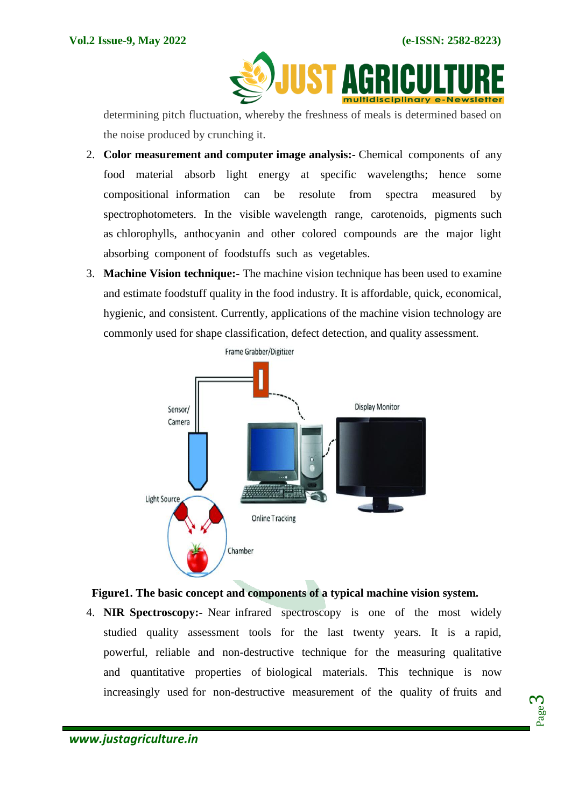

determining pitch fluctuation, whereby the freshness of meals is determined based on the noise produced by crunching it.

- 2. **Color measurement and computer image analysis:-** Chemical components of any food material absorb light energy at specific wavelengths; hence some compositional information can be resolute from spectra measured by spectrophotometers. In the visible wavelength range, carotenoids, pigments such as chlorophylls, anthocyanin and other colored compounds are the major light absorbing component of foodstuffs such as vegetables.
- 3. **Machine Vision technique:-** The machine vision technique has been used to examine and estimate foodstuff quality in the food industry. It is affordable, quick, economical, hygienic, and consistent. Currently, applications of the machine vision technology are commonly used for shape classification, defect detection, and quality assessment.



# **Figure1. The basic concept and components of a typical machine vision system.**

4. **NIR Spectroscopy:-** Near infrared spectroscopy is one of the most widely studied quality assessment tools for the last twenty years. It is a rapid, powerful, reliable and non-destructive technique for the measuring qualitative and quantitative properties of biological materials. This technique is now increasingly used for non-destructive measurement of the quality of fruits and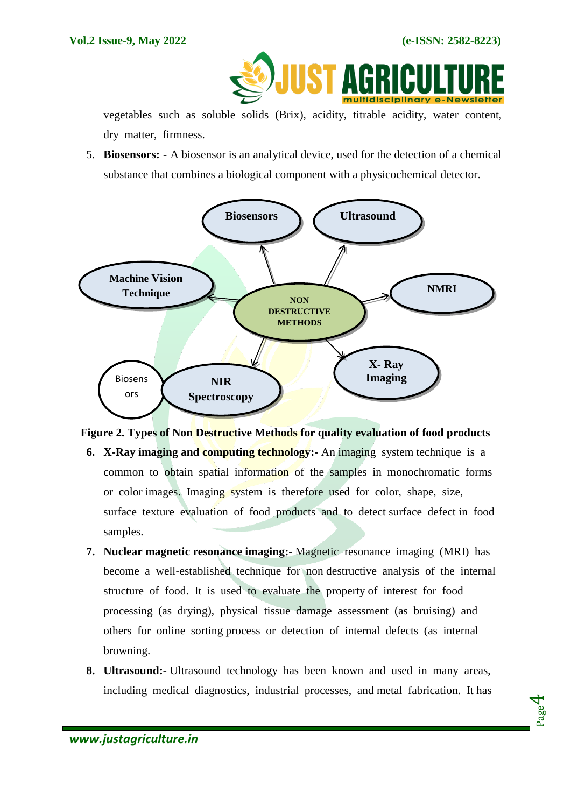

vegetables such as soluble solids (Brix), acidity, titrable acidity, water content, dry matter, firmness.

5. **Biosensors: -** A biosensor is an analytical device, used for the detection of a chemical substance that combines a biological component with a physicochemical detector.





- **6. X-Ray imaging and computing technology:-** An imaging system technique is a common to obtain spatial information of the samples in monochromatic forms or color images. Imaging system is therefore used for color, shape, size, surface texture evaluation of food products and to detect surface defect in food samples.
- **7. Nuclear magnetic resonance imaging:-** Magnetic resonance imaging (MRI) has become a well-established technique for non destructive analysis of the internal structure of food. It is used to evaluate the property of interest for food processing (as drying), physical tissue damage assessment (as bruising) and others for online sorting process or detection of internal defects (as internal browning.
- **8. Ultrasound:-** Ultrasound technology has been known and used in many areas, including medical diagnostics, industrial processes, and metal fabrication. It has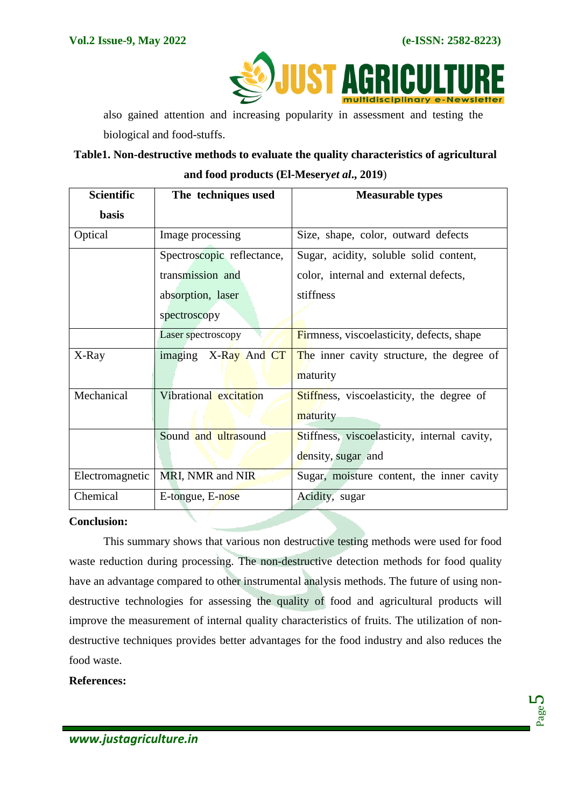**JUST A** 

also gained attention and increasing popularity in assessment and testing the biological and food-stuffs.

# **Table1. Non-destructive methods to evaluate the quality characteristics of agricultural and food products (El-Mesery***et al***., 2019**)

| <b>Scientific</b> | The techniques used        | <b>Measurable types</b>                      |
|-------------------|----------------------------|----------------------------------------------|
| <b>basis</b>      |                            |                                              |
| Optical           | Image processing           | Size, shape, color, outward defects          |
|                   | Spectroscopic reflectance, | Sugar, acidity, soluble solid content,       |
|                   | transmission and           | color, internal and external defects,        |
|                   | absorption, laser          | stiffness                                    |
|                   | spectroscopy               |                                              |
|                   | Laser spectroscopy         | Firmness, viscoelasticity, defects, shape    |
| X-Ray             | imaging<br>X-Ray And CT    | The inner cavity structure, the degree of    |
|                   |                            | maturity                                     |
| Mechanical        | Vibrational excitation     | Stiffness, viscoelasticity, the degree of    |
|                   |                            | maturity                                     |
|                   | Sound and ultrasound       | Stiffness, viscoelasticity, internal cavity, |
|                   |                            | density, sugar and                           |
| Electromagnetic   | MRI, NMR and NIR           | Sugar, moisture content, the inner cavity    |
| Chemical          | E-tongue, E-nose           | Acidity, sugar                               |

# **Conclusion:**

This summary shows that various non destructive testing methods were used for food waste reduction during processing. The non-destructive detection methods for food quality have an advantage compared to other instrumental analysis methods. The future of using nondestructive technologies for assessing the quality of food and agricultural products will improve the measurement of internal quality characteristics of fruits. The utilization of nondestructive techniques provides better advantages for the food industry and also reduces the food waste.

#### **References:**